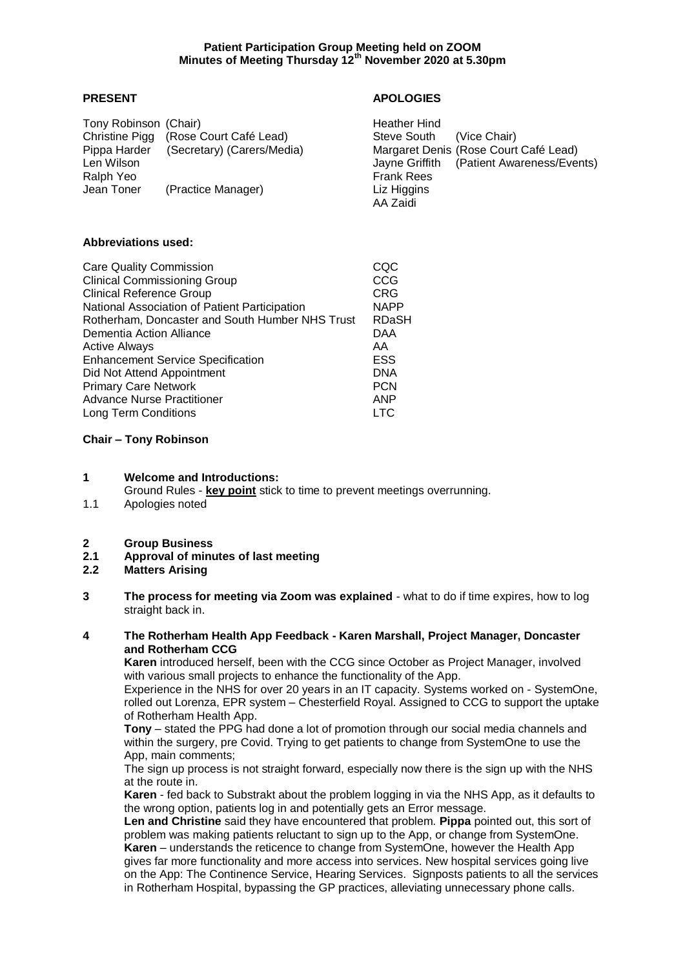# **Patient Participation Group Meeting held on ZOOM Minutes of Meeting Thursday 12th November 2020 at 5.30pm**

# **PRESENT APOLOGIES**

| Tony Robinson (Chair) |                            | Heather Hind      |                                           |
|-----------------------|----------------------------|-------------------|-------------------------------------------|
| Christine Pigg        | (Rose Court Café Lead)     | Steve South       | (Vice Chair)                              |
| Pippa Harder          | (Secretary) (Carers/Media) |                   | Margaret Denis (Rose Court Café Lead)     |
| Len Wilson            |                            |                   | Jayne Griffith (Patient Awareness/Events) |
| Ralph Yeo             |                            | <b>Frank Rees</b> |                                           |
| Jean Toner            | (Practice Manager)         | Liz Higgins       |                                           |
|                       |                            | AA Zaidi          |                                           |

## **Abbreviations used:**

| CQC         |
|-------------|
| CCG         |
| <b>CRG</b>  |
| <b>NAPP</b> |
| RDaSH       |
| <b>DAA</b>  |
| AA          |
| <b>ESS</b>  |
| <b>DNA</b>  |
| <b>PCN</b>  |
| <b>ANP</b>  |
| LTC         |
|             |

## **Chair – Tony Robinson**

# **1 Welcome and Introductions:**

Ground Rules - **key point** stick to time to prevent meetings overrunning.

- 1.1 Apologies noted
- **2 Group Business**
- **2.1 Approval of minutes of last meeting**
- **2.2 Matters Arising**
- **3 The process for meeting via Zoom was explained** what to do if time expires, how to log straight back in.

## **4 The Rotherham Health App Feedback - Karen Marshall, Project Manager, Doncaster and Rotherham CCG**

**Karen** introduced herself, been with the CCG since October as Project Manager, involved with various small projects to enhance the functionality of the App.

Experience in the NHS for over 20 years in an IT capacity. Systems worked on - SystemOne, rolled out Lorenza, EPR system – Chesterfield Royal. Assigned to CCG to support the uptake of Rotherham Health App.

**Tony** – stated the PPG had done a lot of promotion through our social media channels and within the surgery, pre Covid. Trying to get patients to change from SystemOne to use the App, main comments;

The sign up process is not straight forward, especially now there is the sign up with the NHS at the route in.

**Karen** - fed back to Substrakt about the problem logging in via the NHS App, as it defaults to the wrong option, patients log in and potentially gets an Error message.

**Len and Christine** said they have encountered that problem. **Pippa** pointed out, this sort of problem was making patients reluctant to sign up to the App, or change from SystemOne. **Karen** – understands the reticence to change from SystemOne, however the Health App gives far more functionality and more access into services. New hospital services going live on the App: The Continence Service, Hearing Services. Signposts patients to all the services in Rotherham Hospital, bypassing the GP practices, alleviating unnecessary phone calls.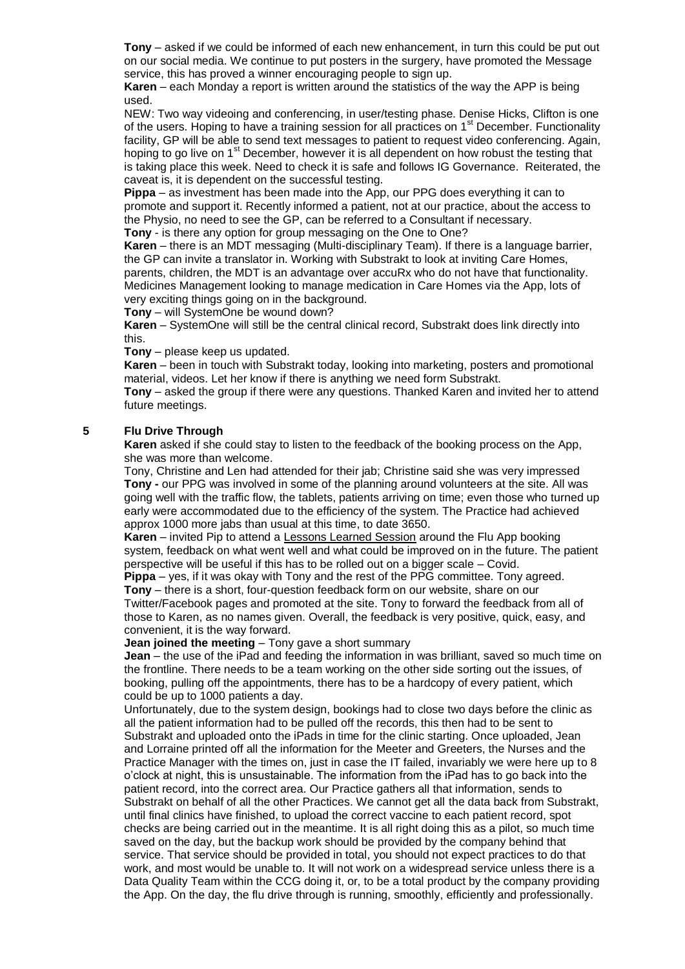**Tony** – asked if we could be informed of each new enhancement, in turn this could be put out on our social media. We continue to put posters in the surgery, have promoted the Message service, this has proved a winner encouraging people to sign up.

**Karen** – each Monday a report is written around the statistics of the way the APP is being used.

NEW: Two way videoing and conferencing, in user/testing phase. Denise Hicks, Clifton is one of the users. Hoping to have a training session for all practices on  $1<sup>st</sup>$  December. Functionality facility, GP will be able to send text messages to patient to request video conferencing. Again, hoping to go live on 1<sup>st</sup> December, however it is all dependent on how robust the testing that is taking place this week. Need to check it is safe and follows IG Governance. Reiterated, the caveat is, it is dependent on the successful testing.

**Pippa** – as investment has been made into the App, our PPG does everything it can to promote and support it. Recently informed a patient, not at our practice, about the access to the Physio, no need to see the GP, can be referred to a Consultant if necessary. **Tony** - is there any option for group messaging on the One to One?

**Karen** – there is an MDT messaging (Multi-disciplinary Team). If there is a language barrier, the GP can invite a translator in. Working with Substrakt to look at inviting Care Homes, parents, children, the MDT is an advantage over accuRx who do not have that functionality. Medicines Management looking to manage medication in Care Homes via the App, lots of very exciting things going on in the background.

**Tony** – will SystemOne be wound down?

**Karen** – SystemOne will still be the central clinical record, Substrakt does link directly into this.

**Tony** – please keep us updated.

**Karen** – been in touch with Substrakt today, looking into marketing, posters and promotional material, videos. Let her know if there is anything we need form Substrakt.

**Tony** – asked the group if there were any questions. Thanked Karen and invited her to attend future meetings.

## **5 Flu Drive Through**

**Karen** asked if she could stay to listen to the feedback of the booking process on the App, she was more than welcome.

Tony, Christine and Len had attended for their jab; Christine said she was very impressed **Tony -** our PPG was involved in some of the planning around volunteers at the site. All was going well with the traffic flow, the tablets, patients arriving on time; even those who turned up early were accommodated due to the efficiency of the system. The Practice had achieved approx 1000 more jabs than usual at this time, to date 3650.

**Karen** – invited Pip to attend a Lessons Learned Session around the Flu App booking system, feedback on what went well and what could be improved on in the future. The patient perspective will be useful if this has to be rolled out on a bigger scale – Covid.

**Pippa** – yes, if it was okay with Tony and the rest of the PPG committee. Tony agreed. **Tony** – there is a short, four-question feedback form on our website, share on our Twitter/Facebook pages and promoted at the site. Tony to forward the feedback from all of those to Karen, as no names given. Overall, the feedback is very positive, quick, easy, and convenient, it is the way forward.

**Jean joined the meeting - Tony gave a short summary** 

**Jean** – the use of the iPad and feeding the information in was brilliant, saved so much time on the frontline. There needs to be a team working on the other side sorting out the issues, of booking, pulling off the appointments, there has to be a hardcopy of every patient, which could be up to 1000 patients a day.

Unfortunately, due to the system design, bookings had to close two days before the clinic as all the patient information had to be pulled off the records, this then had to be sent to Substrakt and uploaded onto the iPads in time for the clinic starting. Once uploaded, Jean and Lorraine printed off all the information for the Meeter and Greeters, the Nurses and the Practice Manager with the times on, just in case the IT failed, invariably we were here up to 8 o'clock at night, this is unsustainable. The information from the iPad has to go back into the patient record, into the correct area. Our Practice gathers all that information, sends to Substrakt on behalf of all the other Practices. We cannot get all the data back from Substrakt, until final clinics have finished, to upload the correct vaccine to each patient record, spot checks are being carried out in the meantime. It is all right doing this as a pilot, so much time saved on the day, but the backup work should be provided by the company behind that service. That service should be provided in total, you should not expect practices to do that work, and most would be unable to. It will not work on a widespread service unless there is a Data Quality Team within the CCG doing it, or, to be a total product by the company providing the App. On the day, the flu drive through is running, smoothly, efficiently and professionally.